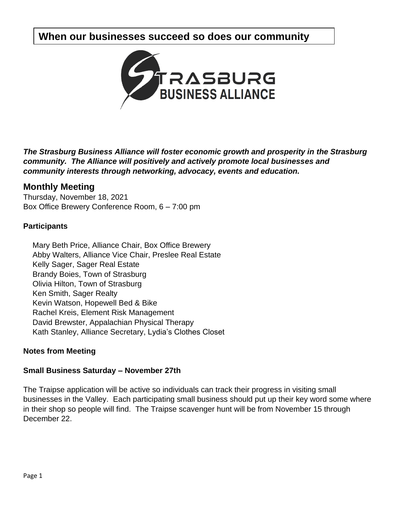# **When our businesses succeed so does our community**



*The Strasburg Business Alliance will foster economic growth and prosperity in the Strasburg community. The Alliance will positively and actively promote local businesses and community interests through networking, advocacy, events and education.*

# **Monthly Meeting**

Thursday, November 18, 2021 Box Office Brewery Conference Room, 6 – 7:00 pm

## **Participants**

Mary Beth Price, Alliance Chair, Box Office Brewery Abby Walters, Alliance Vice Chair, Preslee Real Estate Kelly Sager, Sager Real Estate Brandy Boies, Town of Strasburg Olivia Hilton, Town of Strasburg Ken Smith, Sager Realty Kevin Watson, Hopewell Bed & Bike Rachel Kreis, Element Risk Management David Brewster, Appalachian Physical Therapy Kath Stanley, Alliance Secretary, Lydia's Clothes Closet

# **Notes from Meeting**

#### **Small Business Saturday – November 27th**

The Traipse application will be active so individuals can track their progress in visiting small businesses in the Valley. Each participating small business should put up their key word some where in their shop so people will find. The Traipse scavenger hunt will be from November 15 through December 22.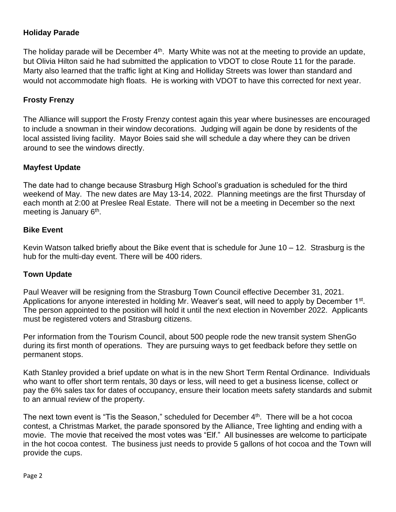# **Holiday Parade**

The holiday parade will be December  $4<sup>th</sup>$ . Marty White was not at the meeting to provide an update, but Olivia Hilton said he had submitted the application to VDOT to close Route 11 for the parade. Marty also learned that the traffic light at King and Holliday Streets was lower than standard and would not accommodate high floats. He is working with VDOT to have this corrected for next year.

## **Frosty Frenzy**

The Alliance will support the Frosty Frenzy contest again this year where businesses are encouraged to include a snowman in their window decorations. Judging will again be done by residents of the local assisted living facility. Mayor Boies said she will schedule a day where they can be driven around to see the windows directly.

#### **Mayfest Update**

The date had to change because Strasburg High School's graduation is scheduled for the third weekend of May. The new dates are May 13-14, 2022. Planning meetings are the first Thursday of each month at 2:00 at Preslee Real Estate. There will not be a meeting in December so the next meeting is January 6<sup>th</sup>.

#### **Bike Event**

Kevin Watson talked briefly about the Bike event that is schedule for June 10 – 12. Strasburg is the hub for the multi-day event. There will be 400 riders.

#### **Town Update**

Paul Weaver will be resigning from the Strasburg Town Council effective December 31, 2021. Applications for anyone interested in holding Mr. Weaver's seat, will need to apply by December 1<sup>st</sup>. The person appointed to the position will hold it until the next election in November 2022. Applicants must be registered voters and Strasburg citizens.

Per information from the Tourism Council, about 500 people rode the new transit system ShenGo during its first month of operations. They are pursuing ways to get feedback before they settle on permanent stops.

Kath Stanley provided a brief update on what is in the new Short Term Rental Ordinance. Individuals who want to offer short term rentals, 30 days or less, will need to get a business license, collect or pay the 6% sales tax for dates of occupancy, ensure their location meets safety standards and submit to an annual review of the property.

The next town event is "Tis the Season," scheduled for December 4<sup>th</sup>. There will be a hot cocoa contest, a Christmas Market, the parade sponsored by the Alliance, Tree lighting and ending with a movie. The movie that received the most votes was "Elf." All businesses are welcome to participate in the hot cocoa contest. The business just needs to provide 5 gallons of hot cocoa and the Town will provide the cups.